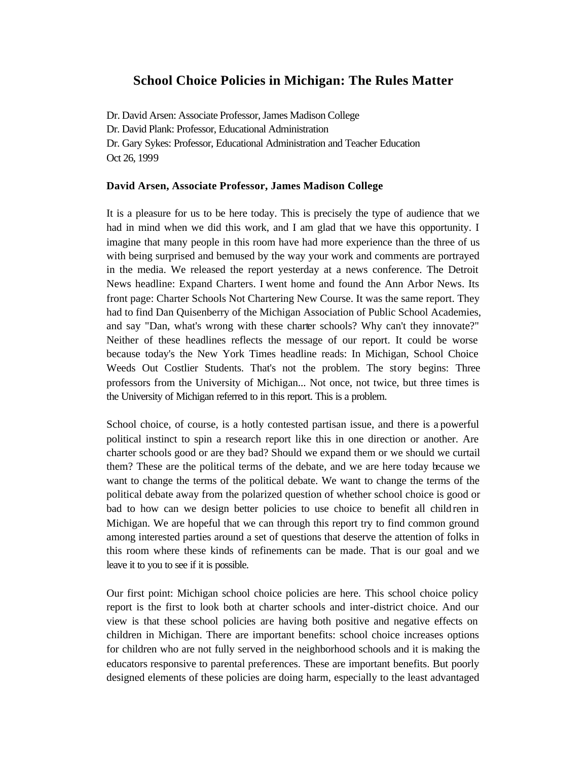# **School Choice Policies in Michigan: The Rules Matter**

Dr. David Arsen: Associate Professor, James Madison College Dr. David Plank: Professor, Educational Administration Dr. Gary Sykes: Professor, Educational Administration and Teacher Education Oct 26, 1999

## **David Arsen, Associate Professor, James Madison College**

It is a pleasure for us to be here today. This is precisely the type of audience that we had in mind when we did this work, and I am glad that we have this opportunity. I imagine that many people in this room have had more experience than the three of us with being surprised and bemused by the way your work and comments are portrayed in the media. We released the report yesterday at a news conference. The Detroit News headline: Expand Charters. I went home and found the Ann Arbor News. Its front page: Charter Schools Not Chartering New Course. It was the same report. They had to find Dan Quisenberry of the Michigan Association of Public School Academies, and say "Dan, what's wrong with these charter schools? Why can't they innovate?" Neither of these headlines reflects the message of our report. It could be worse because today's the New York Times headline reads: In Michigan, School Choice Weeds Out Costlier Students. That's not the problem. The story begins: Three professors from the University of Michigan... Not once, not twice, but three times is the University of Michigan referred to in this report. This is a problem.

School choice, of course, is a hotly contested partisan issue, and there is a powerful political instinct to spin a research report like this in one direction or another. Are charter schools good or are they bad? Should we expand them or we should we curtail them? These are the political terms of the debate, and we are here today because we want to change the terms of the political debate. We want to change the terms of the political debate away from the polarized question of whether school choice is good or bad to how can we design better policies to use choice to benefit all children in Michigan. We are hopeful that we can through this report try to find common ground among interested parties around a set of questions that deserve the attention of folks in this room where these kinds of refinements can be made. That is our goal and we leave it to you to see if it is possible.

Our first point: Michigan school choice policies are here. This school choice policy report is the first to look both at charter schools and inter-district choice. And our view is that these school policies are having both positive and negative effects on children in Michigan. There are important benefits: school choice increases options for children who are not fully served in the neighborhood schools and it is making the educators responsive to parental preferences. These are important benefits. But poorly designed elements of these policies are doing harm, especially to the least advantaged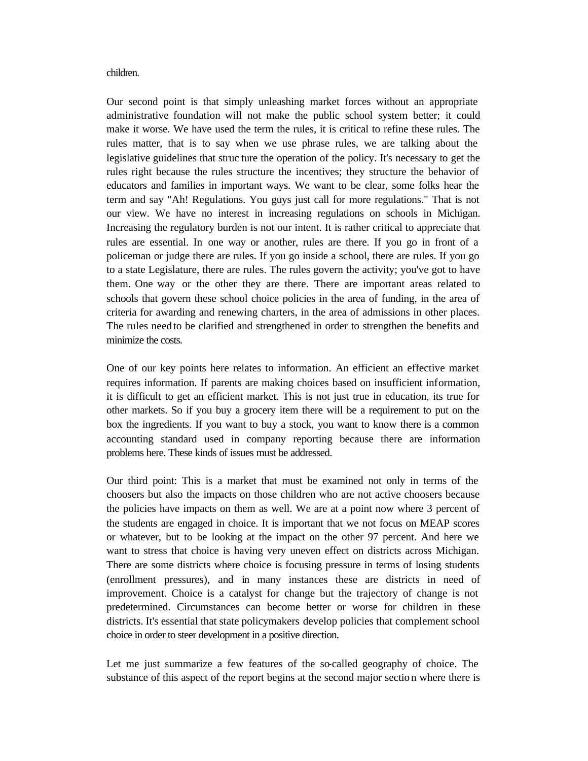#### children.

Our second point is that simply unleashing market forces without an appropriate administrative foundation will not make the public school system better; it could make it worse. We have used the term the rules, it is critical to refine these rules. The rules matter, that is to say when we use phrase rules, we are talking about the legislative guidelines that struc ture the operation of the policy. It's necessary to get the rules right because the rules structure the incentives; they structure the behavior of educators and families in important ways. We want to be clear, some folks hear the term and say "Ah! Regulations. You guys just call for more regulations." That is not our view. We have no interest in increasing regulations on schools in Michigan. Increasing the regulatory burden is not our intent. It is rather critical to appreciate that rules are essential. In one way or another, rules are there. If you go in front of a policeman or judge there are rules. If you go inside a school, there are rules. If you go to a state Legislature, there are rules. The rules govern the activity; you've got to have them. One way or the other they are there. There are important areas related to schools that govern these school choice policies in the area of funding, in the area of criteria for awarding and renewing charters, in the area of admissions in other places. The rules need to be clarified and strengthened in order to strengthen the benefits and minimize the costs.

One of our key points here relates to information. An efficient an effective market requires information. If parents are making choices based on insufficient information, it is difficult to get an efficient market. This is not just true in education, its true for other markets. So if you buy a grocery item there will be a requirement to put on the box the ingredients. If you want to buy a stock, you want to know there is a common accounting standard used in company reporting because there are information problems here. These kinds of issues must be addressed.

Our third point: This is a market that must be examined not only in terms of the choosers but also the impacts on those children who are not active choosers because the policies have impacts on them as well. We are at a point now where 3 percent of the students are engaged in choice. It is important that we not focus on MEAP scores or whatever, but to be looking at the impact on the other 97 percent. And here we want to stress that choice is having very uneven effect on districts across Michigan. There are some districts where choice is focusing pressure in terms of losing students (enrollment pressures), and in many instances these are districts in need of improvement. Choice is a catalyst for change but the trajectory of change is not predetermined. Circumstances can become better or worse for children in these districts. It's essential that state policymakers develop policies that complement school choice in order to steer development in a positive direction.

Let me just summarize a few features of the so-called geography of choice. The substance of this aspect of the report begins at the second major sectio n where there is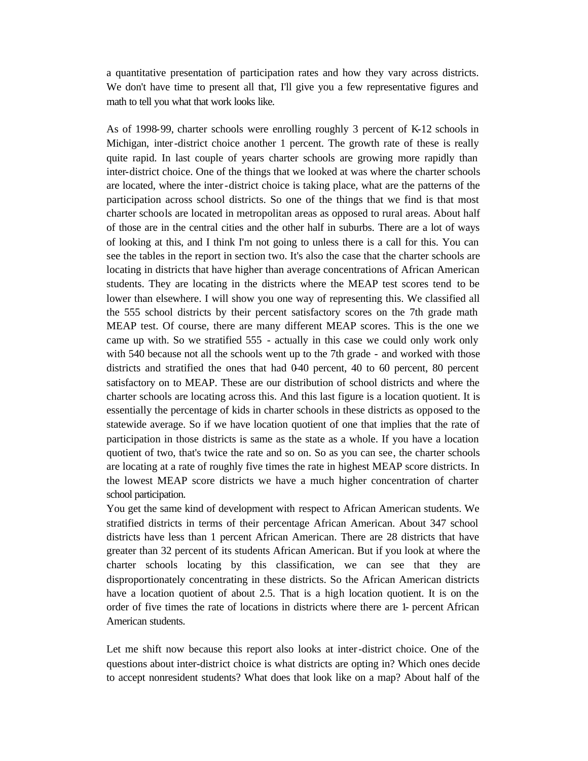a quantitative presentation of participation rates and how they vary across districts. We don't have time to present all that, I'll give you a few representative figures and math to tell you what that work looks like.

As of 1998-99, charter schools were enrolling roughly 3 percent of K-12 schools in Michigan, inter-district choice another 1 percent. The growth rate of these is really quite rapid. In last couple of years charter schools are growing more rapidly than inter-district choice. One of the things that we looked at was where the charter schools are located, where the inter-district choice is taking place, what are the patterns of the participation across school districts. So one of the things that we find is that most charter schools are located in metropolitan areas as opposed to rural areas. About half of those are in the central cities and the other half in suburbs. There are a lot of ways of looking at this, and I think I'm not going to unless there is a call for this. You can see the tables in the report in section two. It's also the case that the charter schools are locating in districts that have higher than average concentrations of African American students. They are locating in the districts where the MEAP test scores tend to be lower than elsewhere. I will show you one way of representing this. We classified all the 555 school districts by their percent satisfactory scores on the 7th grade math MEAP test. Of course, there are many different MEAP scores. This is the one we came up with. So we stratified 555 - actually in this case we could only work only with 540 because not all the schools went up to the 7th grade - and worked with those districts and stratified the ones that had 0-40 percent, 40 to 60 percent, 80 percent satisfactory on to MEAP. These are our distribution of school districts and where the charter schools are locating across this. And this last figure is a location quotient. It is essentially the percentage of kids in charter schools in these districts as opposed to the statewide average. So if we have location quotient of one that implies that the rate of participation in those districts is same as the state as a whole. If you have a location quotient of two, that's twice the rate and so on. So as you can see, the charter schools are locating at a rate of roughly five times the rate in highest MEAP score districts. In the lowest MEAP score districts we have a much higher concentration of charter school participation.

You get the same kind of development with respect to African American students. We stratified districts in terms of their percentage African American. About 347 school districts have less than 1 percent African American. There are 28 districts that have greater than 32 percent of its students African American. But if you look at where the charter schools locating by this classification, we can see that they are disproportionately concentrating in these districts. So the African American districts have a location quotient of about 2.5. That is a high location quotient. It is on the order of five times the rate of locations in districts where there are 1- percent African American students.

Let me shift now because this report also looks at inter-district choice. One of the questions about inter-district choice is what districts are opting in? Which ones decide to accept nonresident students? What does that look like on a map? About half of the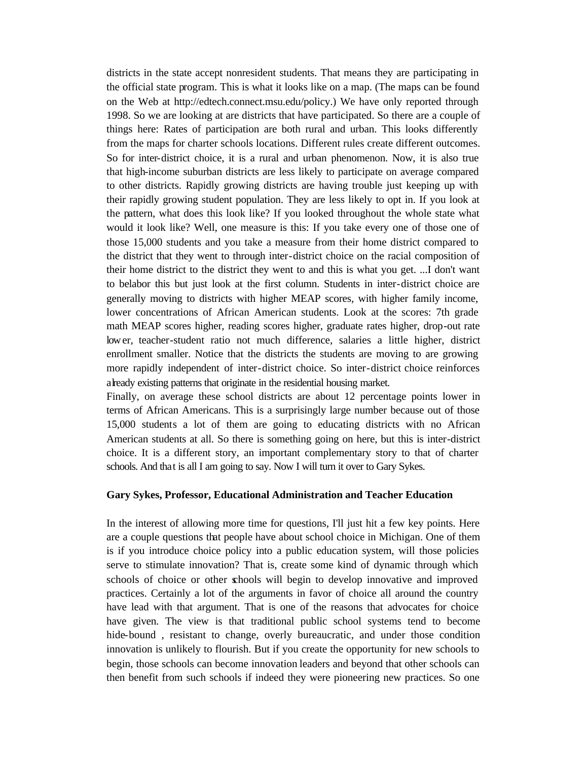districts in the state accept nonresident students. That means they are participating in the official state program. This is what it looks like on a map. (The maps can be found on the Web at http://edtech.connect.msu.edu/policy.) We have only reported through 1998. So we are looking at are districts that have participated. So there are a couple of things here: Rates of participation are both rural and urban. This looks differently from the maps for charter schools locations. Different rules create different outcomes. So for inter-district choice, it is a rural and urban phenomenon. Now, it is also true that high-income suburban districts are less likely to participate on average compared to other districts. Rapidly growing districts are having trouble just keeping up with their rapidly growing student population. They are less likely to opt in. If you look at the pattern, what does this look like? If you looked throughout the whole state what would it look like? Well, one measure is this: If you take every one of those one of those 15,000 students and you take a measure from their home district compared to the district that they went to through inter-district choice on the racial composition of their home district to the district they went to and this is what you get. ...I don't want to belabor this but just look at the first column. Students in inter-district choice are generally moving to districts with higher MEAP scores, with higher family income, lower concentrations of African American students. Look at the scores: 7th grade math MEAP scores higher, reading scores higher, graduate rates higher, drop-out rate lower, teacher-student ratio not much difference, salaries a little higher, district enrollment smaller. Notice that the districts the students are moving to are growing more rapidly independent of inter-district choice. So inter-district choice reinforces already existing patterns that originate in the residential housing market.

Finally, on average these school districts are about 12 percentage points lower in terms of African Americans. This is a surprisingly large number because out of those 15,000 students a lot of them are going to educating districts with no African American students at all. So there is something going on here, but this is inter-district choice. It is a different story, an important complementary story to that of charter schools. And that is all I am going to say. Now I will turn it over to Gary Sykes.

#### **Gary Sykes, Professor, Educational Administration and Teacher Education**

In the interest of allowing more time for questions, I'll just hit a few key points. Here are a couple questions that people have about school choice in Michigan. One of them is if you introduce choice policy into a public education system, will those policies serve to stimulate innovation? That is, create some kind of dynamic through which schools of choice or other schools will begin to develop innovative and improved practices. Certainly a lot of the arguments in favor of choice all around the country have lead with that argument. That is one of the reasons that advocates for choice have given. The view is that traditional public school systems tend to become hide-bound , resistant to change, overly bureaucratic, and under those condition innovation is unlikely to flourish. But if you create the opportunity for new schools to begin, those schools can become innovation leaders and beyond that other schools can then benefit from such schools if indeed they were pioneering new practices. So one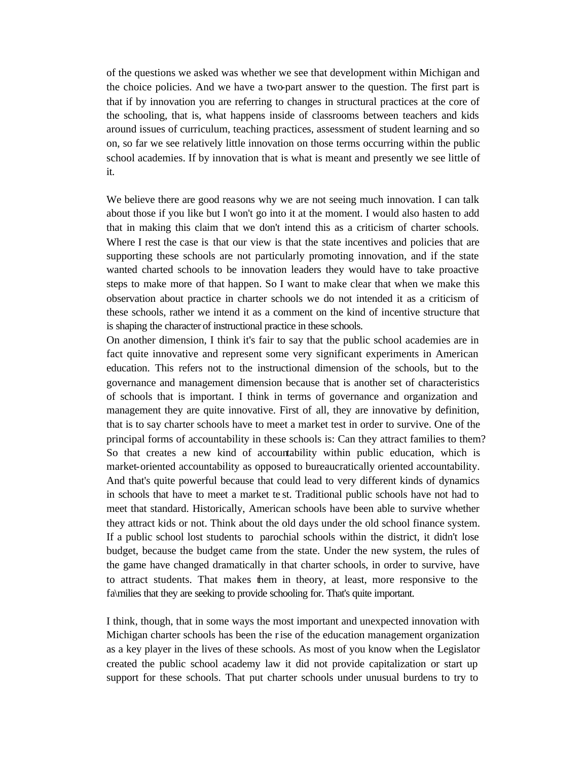of the questions we asked was whether we see that development within Michigan and the choice policies. And we have a two-part answer to the question. The first part is that if by innovation you are referring to changes in structural practices at the core of the schooling, that is, what happens inside of classrooms between teachers and kids around issues of curriculum, teaching practices, assessment of student learning and so on, so far we see relatively little innovation on those terms occurring within the public school academies. If by innovation that is what is meant and presently we see little of it.

We believe there are good reasons why we are not seeing much innovation. I can talk about those if you like but I won't go into it at the moment. I would also hasten to add that in making this claim that we don't intend this as a criticism of charter schools. Where I rest the case is that our view is that the state incentives and policies that are supporting these schools are not particularly promoting innovation, and if the state wanted charted schools to be innovation leaders they would have to take proactive steps to make more of that happen. So I want to make clear that when we make this observation about practice in charter schools we do not intended it as a criticism of these schools, rather we intend it as a comment on the kind of incentive structure that is shaping the character of instructional practice in these schools.

On another dimension, I think it's fair to say that the public school academies are in fact quite innovative and represent some very significant experiments in American education. This refers not to the instructional dimension of the schools, but to the governance and management dimension because that is another set of characteristics of schools that is important. I think in terms of governance and organization and management they are quite innovative. First of all, they are innovative by definition, that is to say charter schools have to meet a market test in order to survive. One of the principal forms of accountability in these schools is: Can they attract families to them? So that creates a new kind of accountability within public education, which is market-oriented accountability as opposed to bureaucratically oriented accountability. And that's quite powerful because that could lead to very different kinds of dynamics in schools that have to meet a market te st. Traditional public schools have not had to meet that standard. Historically, American schools have been able to survive whether they attract kids or not. Think about the old days under the old school finance system. If a public school lost students to parochial schools within the district, it didn't lose budget, because the budget came from the state. Under the new system, the rules of the game have changed dramatically in that charter schools, in order to survive, have to attract students. That makes them in theory, at least, more responsive to the fa\milies that they are seeking to provide schooling for. That's quite important.

I think, though, that in some ways the most important and unexpected innovation with Michigan charter schools has been the rise of the education management organization as a key player in the lives of these schools. As most of you know when the Legislator created the public school academy law it did not provide capitalization or start up support for these schools. That put charter schools under unusual burdens to try to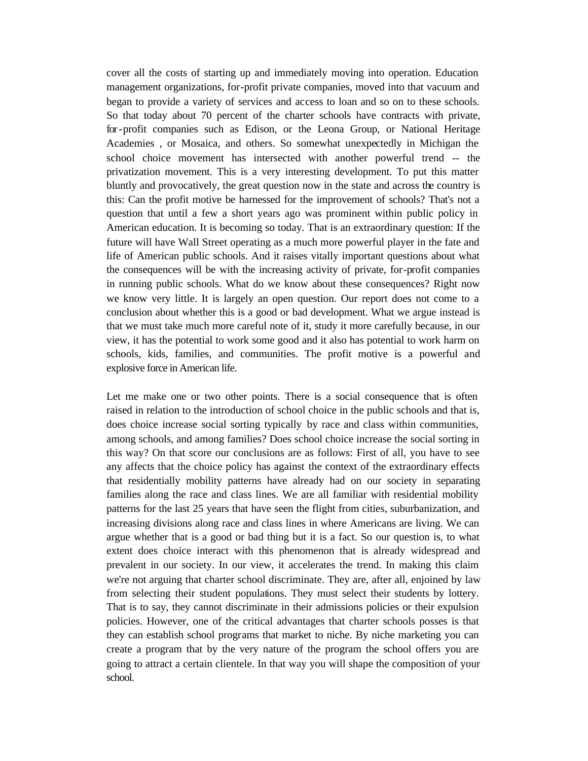cover all the costs of starting up and immediately moving into operation. Education management organizations, for-profit private companies, moved into that vacuum and began to provide a variety of services and access to loan and so on to these schools. So that today about 70 percent of the charter schools have contracts with private, for-profit companies such as Edison, or the Leona Group, or National Heritage Academies , or Mosaica, and others. So somewhat unexpectedly in Michigan the school choice movement has intersected with another powerful trend -- the privatization movement. This is a very interesting development. To put this matter bluntly and provocatively, the great question now in the state and across the country is this: Can the profit motive be harnessed for the improvement of schools? That's not a question that until a few a short years ago was prominent within public policy in American education. It is becoming so today. That is an extraordinary question: If the future will have Wall Street operating as a much more powerful player in the fate and life of American public schools. And it raises vitally important questions about what the consequences will be with the increasing activity of private, for-profit companies in running public schools. What do we know about these consequences? Right now we know very little. It is largely an open question. Our report does not come to a conclusion about whether this is a good or bad development. What we argue instead is that we must take much more careful note of it, study it more carefully because, in our view, it has the potential to work some good and it also has potential to work harm on schools, kids, families, and communities. The profit motive is a powerful and explosive force in American life.

Let me make one or two other points. There is a social consequence that is often raised in relation to the introduction of school choice in the public schools and that is, does choice increase social sorting typically by race and class within communities, among schools, and among families? Does school choice increase the social sorting in this way? On that score our conclusions are as follows: First of all, you have to see any affects that the choice policy has against the context of the extraordinary effects that residentially mobility patterns have already had on our society in separating families along the race and class lines. We are all familiar with residential mobility patterns for the last 25 years that have seen the flight from cities, suburbanization, and increasing divisions along race and class lines in where Americans are living. We can argue whether that is a good or bad thing but it is a fact. So our question is, to what extent does choice interact with this phenomenon that is already widespread and prevalent in our society. In our view, it accelerates the trend. In making this claim we're not arguing that charter school discriminate. They are, after all, enjoined by law from selecting their student populations. They must select their students by lottery. That is to say, they cannot discriminate in their admissions policies or their expulsion policies. However, one of the critical advantages that charter schools posses is that they can establish school programs that market to niche. By niche marketing you can create a program that by the very nature of the program the school offers you are going to attract a certain clientele. In that way you will shape the composition of your school.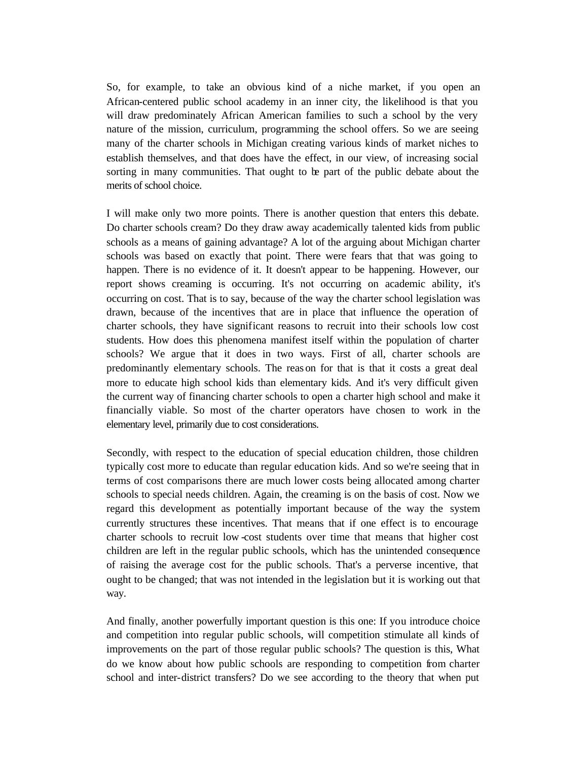So, for example, to take an obvious kind of a niche market, if you open an African-centered public school academy in an inner city, the likelihood is that you will draw predominately African American families to such a school by the very nature of the mission, curriculum, programming the school offers. So we are seeing many of the charter schools in Michigan creating various kinds of market niches to establish themselves, and that does have the effect, in our view, of increasing social sorting in many communities. That ought to be part of the public debate about the merits of school choice.

I will make only two more points. There is another question that enters this debate. Do charter schools cream? Do they draw away academically talented kids from public schools as a means of gaining advantage? A lot of the arguing about Michigan charter schools was based on exactly that point. There were fears that that was going to happen. There is no evidence of it. It doesn't appear to be happening. However, our report shows creaming is occurring. It's not occurring on academic ability, it's occurring on cost. That is to say, because of the way the charter school legislation was drawn, because of the incentives that are in place that influence the operation of charter schools, they have significant reasons to recruit into their schools low cost students. How does this phenomena manifest itself within the population of charter schools? We argue that it does in two ways. First of all, charter schools are predominantly elementary schools. The reas on for that is that it costs a great deal more to educate high school kids than elementary kids. And it's very difficult given the current way of financing charter schools to open a charter high school and make it financially viable. So most of the charter operators have chosen to work in the elementary level, primarily due to cost considerations.

Secondly, with respect to the education of special education children, those children typically cost more to educate than regular education kids. And so we're seeing that in terms of cost comparisons there are much lower costs being allocated among charter schools to special needs children. Again, the creaming is on the basis of cost. Now we regard this development as potentially important because of the way the system currently structures these incentives. That means that if one effect is to encourage charter schools to recruit low -cost students over time that means that higher cost children are left in the regular public schools, which has the unintended consequence of raising the average cost for the public schools. That's a perverse incentive, that ought to be changed; that was not intended in the legislation but it is working out that way.

And finally, another powerfully important question is this one: If you introduce choice and competition into regular public schools, will competition stimulate all kinds of improvements on the part of those regular public schools? The question is this, What do we know about how public schools are responding to competition from charter school and inter-district transfers? Do we see according to the theory that when put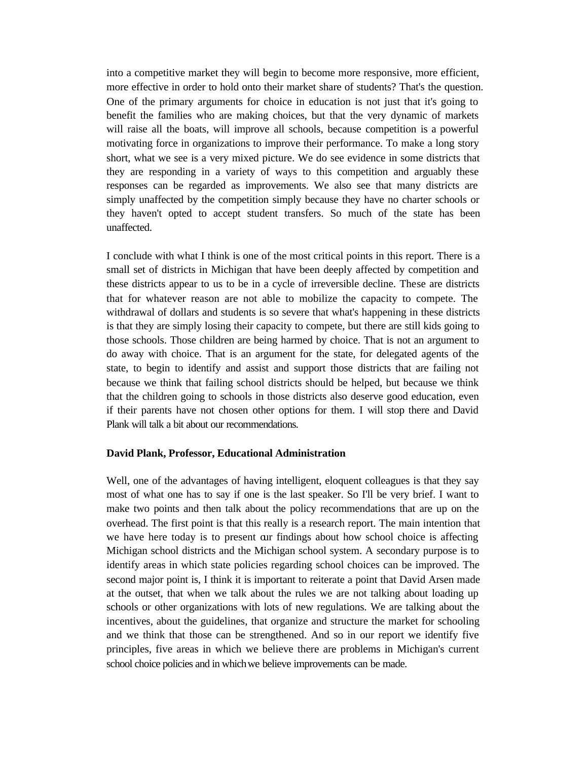into a competitive market they will begin to become more responsive, more efficient, more effective in order to hold onto their market share of students? That's the question. One of the primary arguments for choice in education is not just that it's going to benefit the families who are making choices, but that the very dynamic of markets will raise all the boats, will improve all schools, because competition is a powerful motivating force in organizations to improve their performance. To make a long story short, what we see is a very mixed picture. We do see evidence in some districts that they are responding in a variety of ways to this competition and arguably these responses can be regarded as improvements. We also see that many districts are simply unaffected by the competition simply because they have no charter schools or they haven't opted to accept student transfers. So much of the state has been unaffected.

I conclude with what I think is one of the most critical points in this report. There is a small set of districts in Michigan that have been deeply affected by competition and these districts appear to us to be in a cycle of irreversible decline. These are districts that for whatever reason are not able to mobilize the capacity to compete. The withdrawal of dollars and students is so severe that what's happening in these districts is that they are simply losing their capacity to compete, but there are still kids going to those schools. Those children are being harmed by choice. That is not an argument to do away with choice. That is an argument for the state, for delegated agents of the state, to begin to identify and assist and support those districts that are failing not because we think that failing school districts should be helped, but because we think that the children going to schools in those districts also deserve good education, even if their parents have not chosen other options for them. I will stop there and David Plank will talk a bit about our recommendations.

## **David Plank, Professor, Educational Administration**

Well, one of the advantages of having intelligent, eloquent colleagues is that they say most of what one has to say if one is the last speaker. So I'll be very brief. I want to make two points and then talk about the policy recommendations that are up on the overhead. The first point is that this really is a research report. The main intention that we have here today is to present our findings about how school choice is affecting Michigan school districts and the Michigan school system. A secondary purpose is to identify areas in which state policies regarding school choices can be improved. The second major point is, I think it is important to reiterate a point that David Arsen made at the outset, that when we talk about the rules we are not talking about loading up schools or other organizations with lots of new regulations. We are talking about the incentives, about the guidelines, that organize and structure the market for schooling and we think that those can be strengthened. And so in our report we identify five principles, five areas in which we believe there are problems in Michigan's current school choice policies and in which we believe improvements can be made.